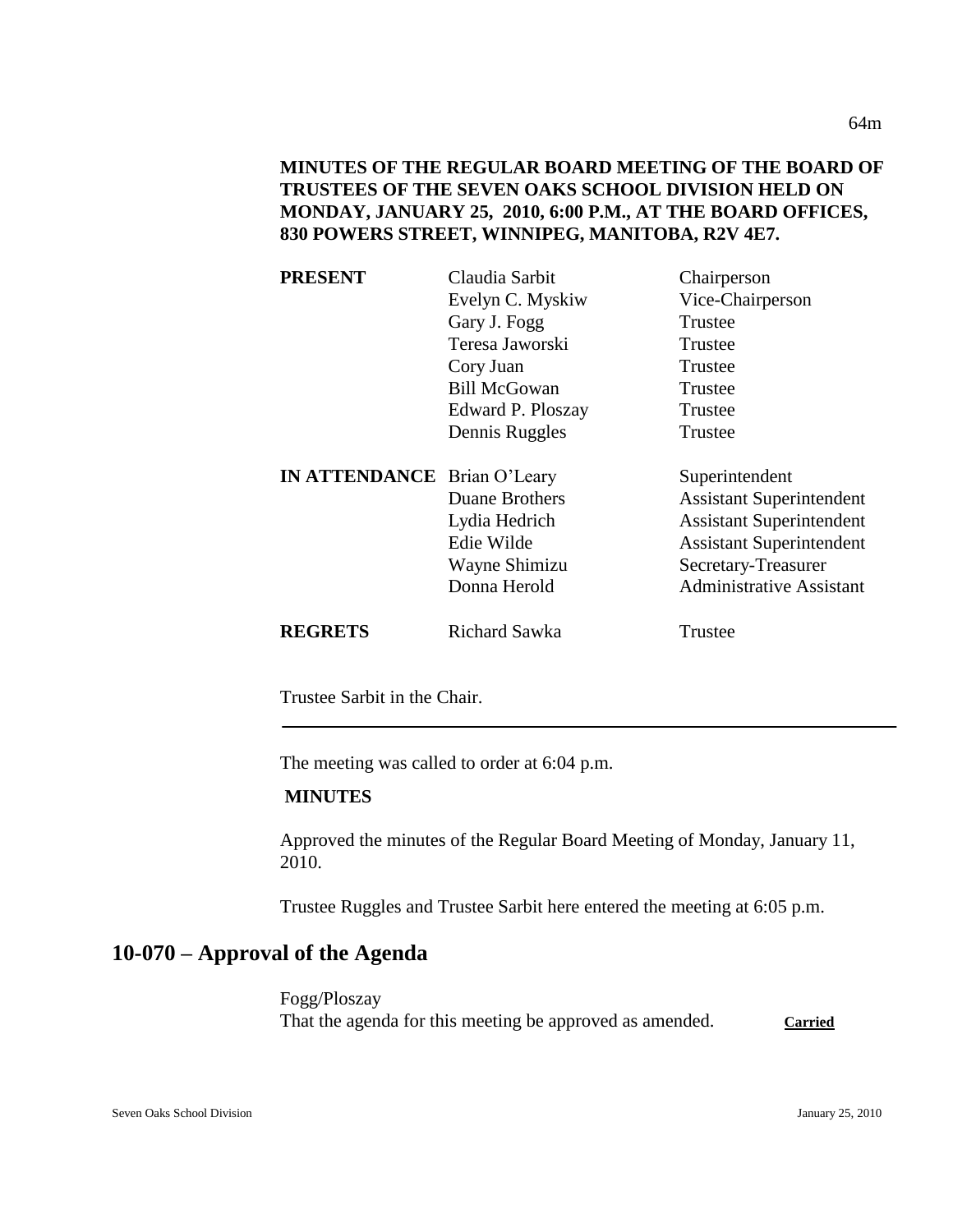# **MINUTES OF THE REGULAR BOARD MEETING OF THE BOARD OF TRUSTEES OF THE SEVEN OAKS SCHOOL DIVISION HELD ON MONDAY, JANUARY 25, 2010, 6:00 P.M., AT THE BOARD OFFICES, 830 POWERS STREET, WINNIPEG, MANITOBA, R2V 4E7.**

| <b>PRESENT</b>                     | Claudia Sarbit        | Chairperson                     |
|------------------------------------|-----------------------|---------------------------------|
|                                    | Evelyn C. Myskiw      | Vice-Chairperson                |
|                                    | Gary J. Fogg          | Trustee                         |
|                                    | Teresa Jaworski       | Trustee                         |
|                                    | Cory Juan             | Trustee                         |
|                                    | <b>Bill McGowan</b>   | Trustee                         |
|                                    | Edward P. Ploszay     | Trustee                         |
|                                    | Dennis Ruggles        | Trustee                         |
|                                    |                       |                                 |
| <b>IN ATTENDANCE</b> Brian O'Leary |                       | Superintendent                  |
|                                    | <b>Duane Brothers</b> | <b>Assistant Superintendent</b> |
|                                    | Lydia Hedrich         | <b>Assistant Superintendent</b> |
|                                    | Edie Wilde            | <b>Assistant Superintendent</b> |
|                                    | Wayne Shimizu         | Secretary-Treasurer             |
|                                    | Donna Herold          | <b>Administrative Assistant</b> |
| <b>REGRETS</b>                     | Richard Sawka         | Trustee                         |

Trustee Sarbit in the Chair.

The meeting was called to order at 6:04 p.m.

### **MINUTES**

Approved the minutes of the Regular Board Meeting of Monday, January 11, 2010.

Trustee Ruggles and Trustee Sarbit here entered the meeting at 6:05 p.m.

# **10-070 – Approval of the Agenda**

Fogg/Ploszay That the agenda for this meeting be approved as amended. **Carried**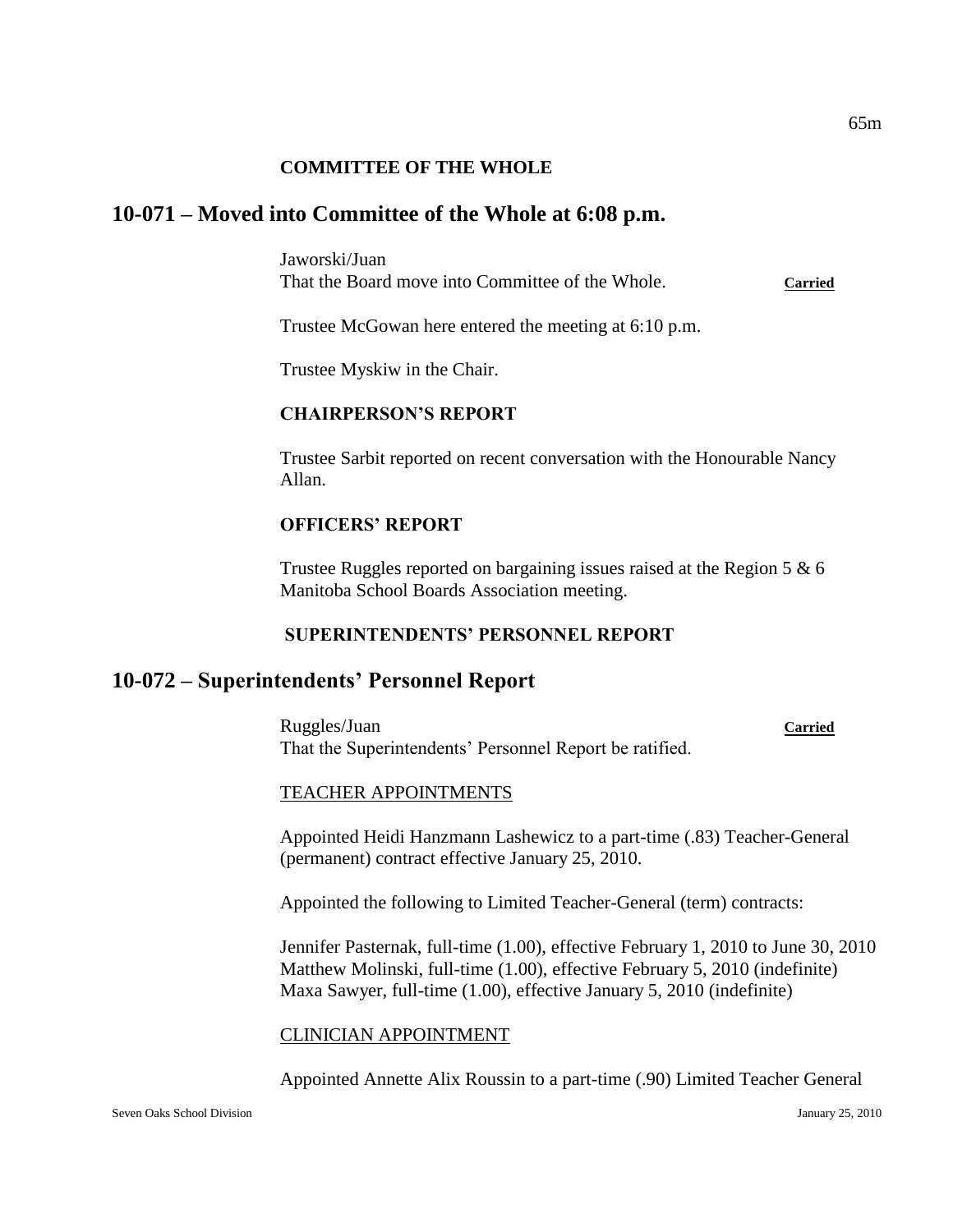#### **COMMITTEE OF THE WHOLE**

## **10-071 – Moved into Committee of the Whole at 6:08 p.m.**

Jaworski/Juan That the Board move into Committee of the Whole. **Carried**

Trustee McGowan here entered the meeting at 6:10 p.m.

Trustee Myskiw in the Chair.

#### **CHAIRPERSON'S REPORT**

Trustee Sarbit reported on recent conversation with the Honourable Nancy Allan.

### **OFFICERS' REPORT**

Trustee Ruggles reported on bargaining issues raised at the Region 5 & 6 Manitoba School Boards Association meeting.

#### **SUPERINTENDENTS' PERSONNEL REPORT**

# **10-072 – Superintendents' Personnel Report**

Ruggles/Juan **Carried** That the Superintendents' Personnel Report be ratified.

#### TEACHER APPOINTMENTS

Appointed Heidi Hanzmann Lashewicz to a part-time (.83) Teacher-General (permanent) contract effective January 25, 2010.

Appointed the following to Limited Teacher-General (term) contracts:

Jennifer Pasternak, full-time (1.00), effective February 1, 2010 to June 30, 2010 Matthew Molinski, full-time (1.00), effective February 5, 2010 (indefinite) Maxa Sawyer, full-time (1.00), effective January 5, 2010 (indefinite)

#### CLINICIAN APPOINTMENT

Appointed Annette Alix Roussin to a part-time (.90) Limited Teacher General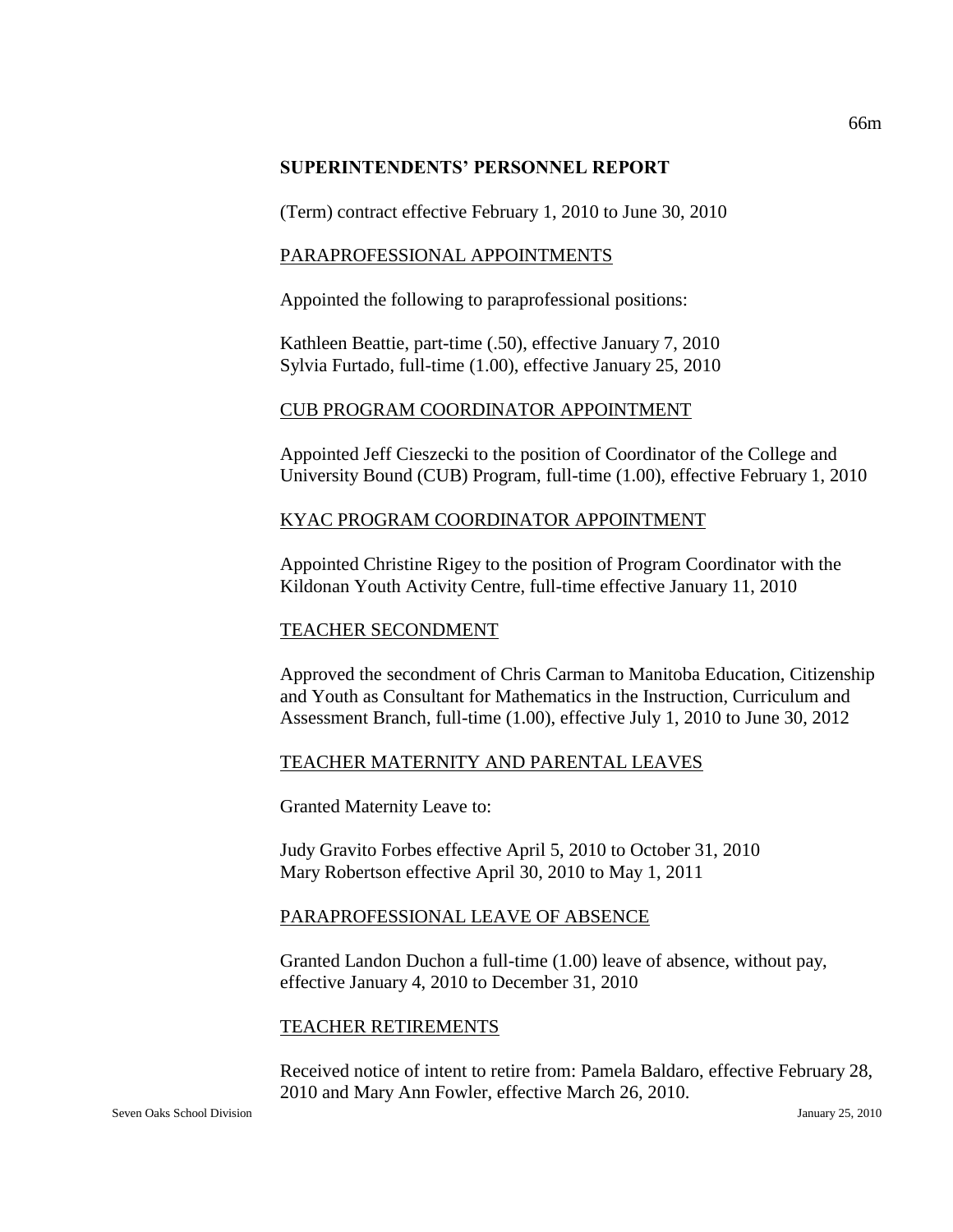#### **SUPERINTENDENTS' PERSONNEL REPORT**

(Term) contract effective February 1, 2010 to June 30, 2010

### PARAPROFESSIONAL APPOINTMENTS

Appointed the following to paraprofessional positions:

Kathleen Beattie, part-time (.50), effective January 7, 2010 Sylvia Furtado, full-time (1.00), effective January 25, 2010

#### CUB PROGRAM COORDINATOR APPOINTMENT

Appointed Jeff Cieszecki to the position of Coordinator of the College and University Bound (CUB) Program, full-time (1.00), effective February 1, 2010

#### KYAC PROGRAM COORDINATOR APPOINTMENT

Appointed Christine Rigey to the position of Program Coordinator with the Kildonan Youth Activity Centre, full-time effective January 11, 2010

### TEACHER SECONDMENT

Approved the secondment of Chris Carman to Manitoba Education, Citizenship and Youth as Consultant for Mathematics in the Instruction, Curriculum and Assessment Branch, full-time (1.00), effective July 1, 2010 to June 30, 2012

### TEACHER MATERNITY AND PARENTAL LEAVES

Granted Maternity Leave to:

Judy Gravito Forbes effective April 5, 2010 to October 31, 2010 Mary Robertson effective April 30, 2010 to May 1, 2011

### PARAPROFESSIONAL LEAVE OF ABSENCE

Granted Landon Duchon a full-time (1.00) leave of absence, without pay, effective January 4, 2010 to December 31, 2010

#### TEACHER RETIREMENTS

Received notice of intent to retire from: Pamela Baldaro, effective February 28, 2010 and Mary Ann Fowler, effective March 26, 2010.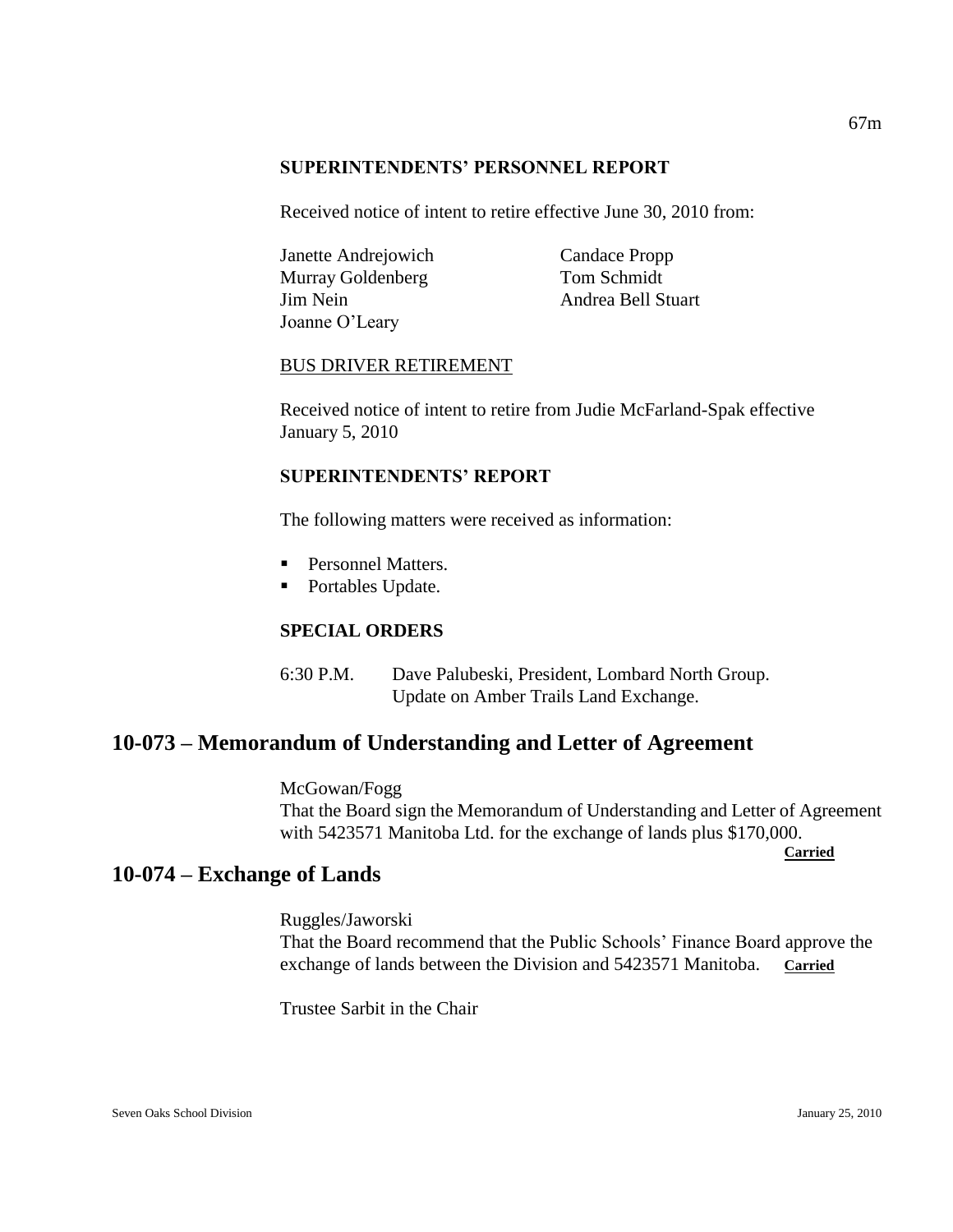#### **SUPERINTENDENTS' PERSONNEL REPORT**

Received notice of intent to retire effective June 30, 2010 from:

Janette Andrejowich Candace Propp Murray Goldenberg Tom Schmidt Jim Nein Andrea Bell Stuart Joanne O'Leary

#### BUS DRIVER RETIREMENT

Received notice of intent to retire from Judie McFarland-Spak effective January 5, 2010

### **SUPERINTENDENTS' REPORT**

The following matters were received as information:

- **Personnel Matters.**
- Portables Update.

# **SPECIAL ORDERS**

6:30 P.M. Dave Palubeski, President, Lombard North Group. Update on Amber Trails Land Exchange.

# **10-073 – Memorandum of Understanding and Letter of Agreement**

McGowan/Fogg That the Board sign the Memorandum of Understanding and Letter of Agreement with 5423571 Manitoba Ltd. for the exchange of lands plus \$170,000.

**Carried**

# **10-074 – Exchange of Lands**

Ruggles/Jaworski That the Board recommend that the Public Schools' Finance Board approve the exchange of lands between the Division and 5423571 Manitoba. **Carried** 

Trustee Sarbit in the Chair

67m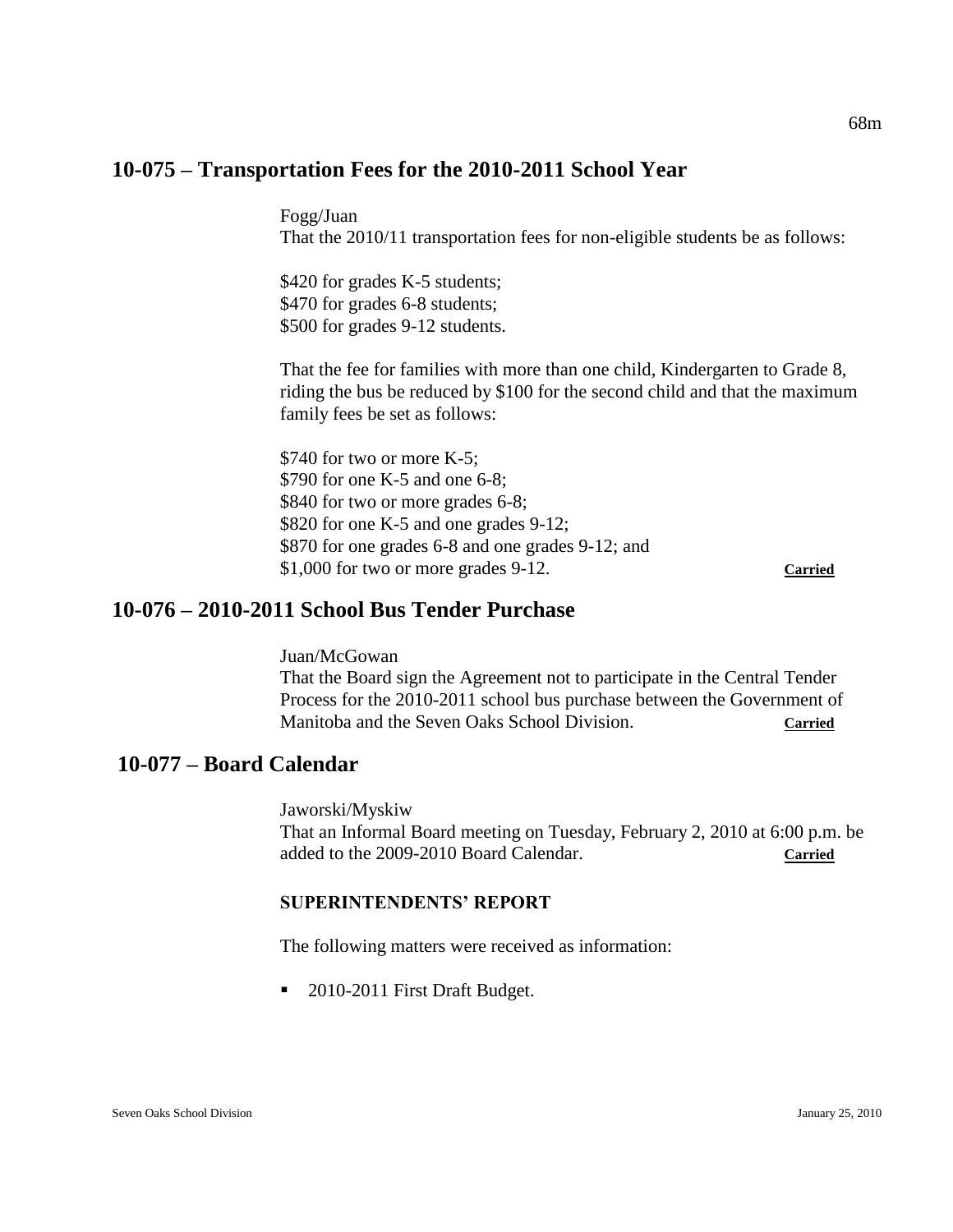# **10-075 – Transportation Fees for the 2010-2011 School Year**

Fogg/Juan That the 2010/11 transportation fees for non-eligible students be as follows:

\$420 for grades K-5 students; \$470 for grades 6-8 students; \$500 for grades 9-12 students.

That the fee for families with more than one child, Kindergarten to Grade 8, riding the bus be reduced by \$100 for the second child and that the maximum family fees be set as follows:

\$740 for two or more K-5; \$790 for one K-5 and one 6-8; \$840 for two or more grades 6-8; \$820 for one K-5 and one grades 9-12; \$870 for one grades 6-8 and one grades 9-12; and \$1,000 for two or more grades 9-12. **Carried**

# **10-076 – 2010-2011 School Bus Tender Purchase**

Juan/McGowan That the Board sign the Agreement not to participate in the Central Tender Process for the 2010-2011 school bus purchase between the Government of Manitoba and the Seven Oaks School Division. **Carried**

# **10-077 – Board Calendar**

Jaworski/Myskiw That an Informal Board meeting on Tuesday, February 2, 2010 at 6:00 p.m. be added to the 2009-2010 Board Calendar. **Carried**

### **SUPERINTENDENTS' REPORT**

The following matters were received as information:

■ 2010-2011 First Draft Budget.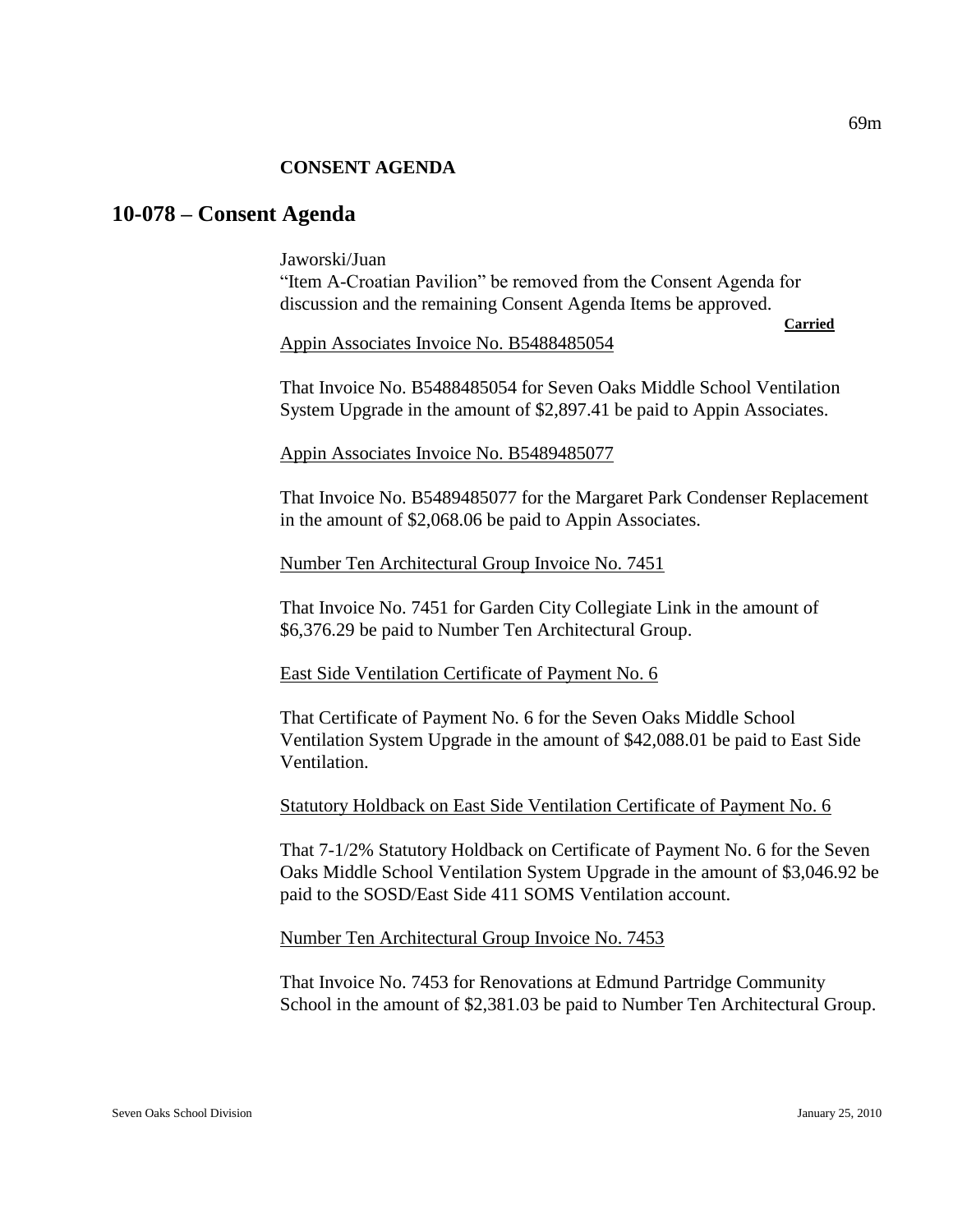#### **CONSENT AGENDA**

# **10-078 – Consent Agenda**

Jaworski/Juan "Item A-Croatian Pavilion" be removed from the Consent Agenda for discussion and the remaining Consent Agenda Items be approved. **Carried**

Appin Associates Invoice No. B5488485054

That Invoice No. B5488485054 for Seven Oaks Middle School Ventilation System Upgrade in the amount of \$2,897.41 be paid to Appin Associates.

Appin Associates Invoice No. B5489485077

That Invoice No. B5489485077 for the Margaret Park Condenser Replacement in the amount of \$2,068.06 be paid to Appin Associates.

Number Ten Architectural Group Invoice No. 7451

That Invoice No. 7451 for Garden City Collegiate Link in the amount of \$6,376.29 be paid to Number Ten Architectural Group.

East Side Ventilation Certificate of Payment No. 6

That Certificate of Payment No. 6 for the Seven Oaks Middle School Ventilation System Upgrade in the amount of \$42,088.01 be paid to East Side Ventilation.

Statutory Holdback on East Side Ventilation Certificate of Payment No. 6

That 7-1/2% Statutory Holdback on Certificate of Payment No. 6 for the Seven Oaks Middle School Ventilation System Upgrade in the amount of \$3,046.92 be paid to the SOSD/East Side 411 SOMS Ventilation account.

Number Ten Architectural Group Invoice No. 7453

That Invoice No. 7453 for Renovations at Edmund Partridge Community School in the amount of \$2,381.03 be paid to Number Ten Architectural Group.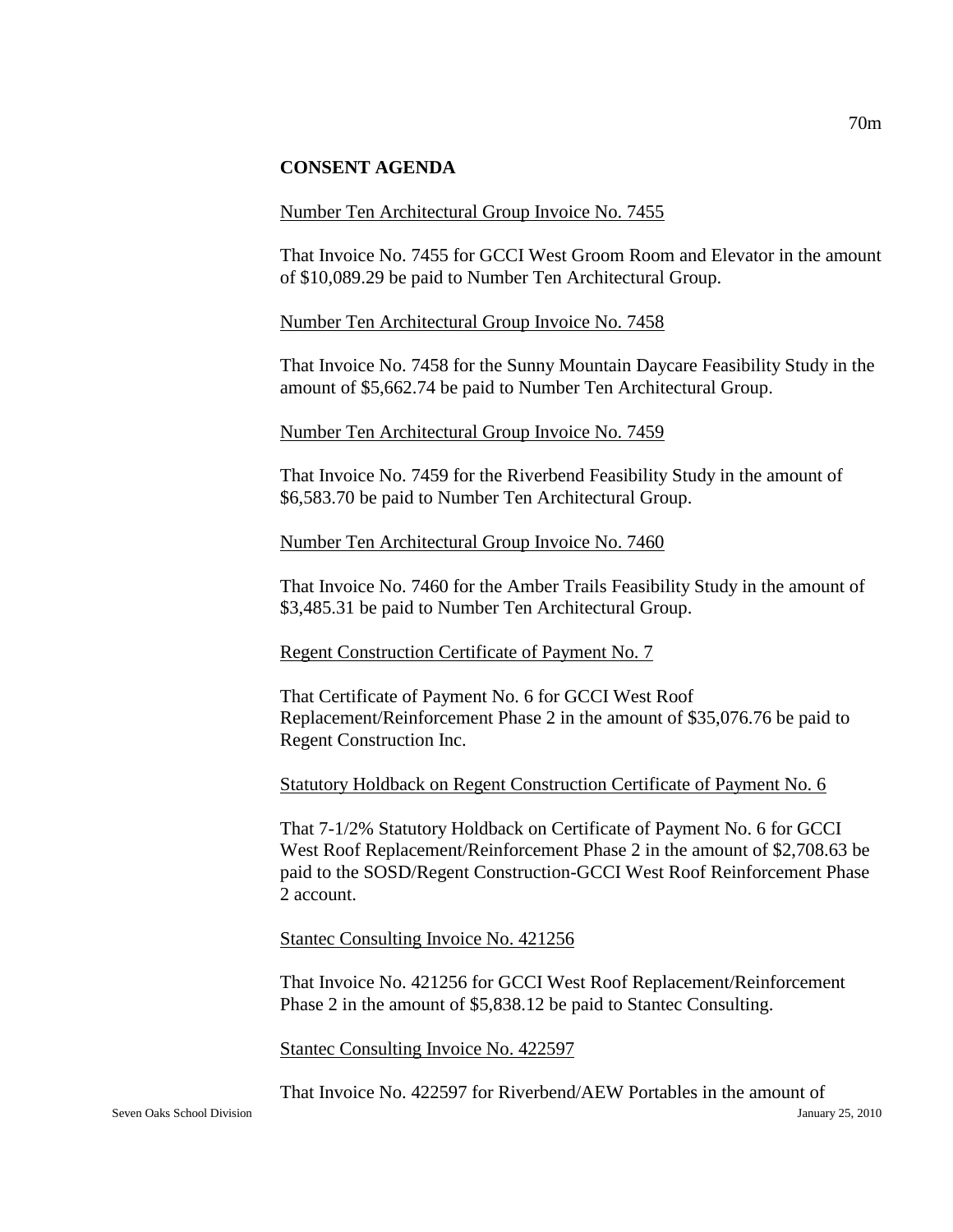#### **CONSENT AGENDA**

#### Number Ten Architectural Group Invoice No. 7455

That Invoice No. 7455 for GCCI West Groom Room and Elevator in the amount of \$10,089.29 be paid to Number Ten Architectural Group.

#### Number Ten Architectural Group Invoice No. 7458

That Invoice No. 7458 for the Sunny Mountain Daycare Feasibility Study in the amount of \$5,662.74 be paid to Number Ten Architectural Group.

#### Number Ten Architectural Group Invoice No. 7459

That Invoice No. 7459 for the Riverbend Feasibility Study in the amount of \$6,583.70 be paid to Number Ten Architectural Group.

#### Number Ten Architectural Group Invoice No. 7460

That Invoice No. 7460 for the Amber Trails Feasibility Study in the amount of \$3,485.31 be paid to Number Ten Architectural Group.

#### Regent Construction Certificate of Payment No. 7

That Certificate of Payment No. 6 for GCCI West Roof Replacement/Reinforcement Phase 2 in the amount of \$35,076.76 be paid to Regent Construction Inc.

### Statutory Holdback on Regent Construction Certificate of Payment No. 6

That 7-1/2% Statutory Holdback on Certificate of Payment No. 6 for GCCI West Roof Replacement/Reinforcement Phase 2 in the amount of \$2,708.63 be paid to the SOSD/Regent Construction-GCCI West Roof Reinforcement Phase 2 account.

#### Stantec Consulting Invoice No. 421256

That Invoice No. 421256 for GCCI West Roof Replacement/Reinforcement Phase 2 in the amount of \$5,838.12 be paid to Stantec Consulting.

Stantec Consulting Invoice No. 422597

That Invoice No. 422597 for Riverbend/AEW Portables in the amount of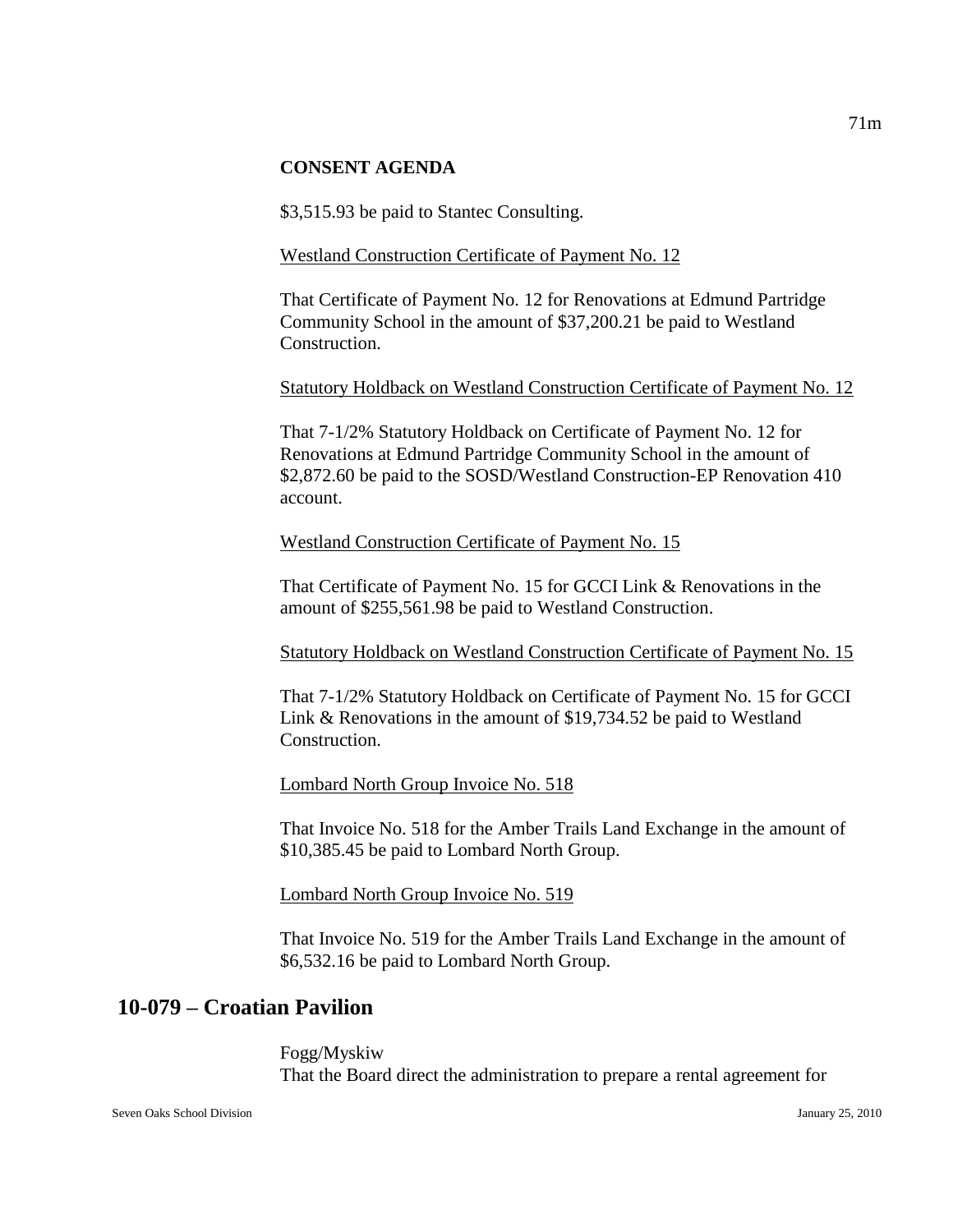#### **CONSENT AGENDA**

\$3,515.93 be paid to Stantec Consulting.

#### Westland Construction Certificate of Payment No. 12

That Certificate of Payment No. 12 for Renovations at Edmund Partridge Community School in the amount of \$37,200.21 be paid to Westland Construction.

#### Statutory Holdback on Westland Construction Certificate of Payment No. 12

That 7-1/2% Statutory Holdback on Certificate of Payment No. 12 for Renovations at Edmund Partridge Community School in the amount of \$2,872.60 be paid to the SOSD/Westland Construction-EP Renovation 410 account.

#### Westland Construction Certificate of Payment No. 15

That Certificate of Payment No. 15 for GCCI Link & Renovations in the amount of \$255,561.98 be paid to Westland Construction.

Statutory Holdback on Westland Construction Certificate of Payment No. 15

That 7-1/2% Statutory Holdback on Certificate of Payment No. 15 for GCCI Link & Renovations in the amount of \$19,734.52 be paid to Westland Construction.

Lombard North Group Invoice No. 518

That Invoice No. 518 for the Amber Trails Land Exchange in the amount of \$10,385.45 be paid to Lombard North Group.

Lombard North Group Invoice No. 519

That Invoice No. 519 for the Amber Trails Land Exchange in the amount of \$6,532.16 be paid to Lombard North Group.

# **10-079 – Croatian Pavilion**

Fogg/Myskiw That the Board direct the administration to prepare a rental agreement for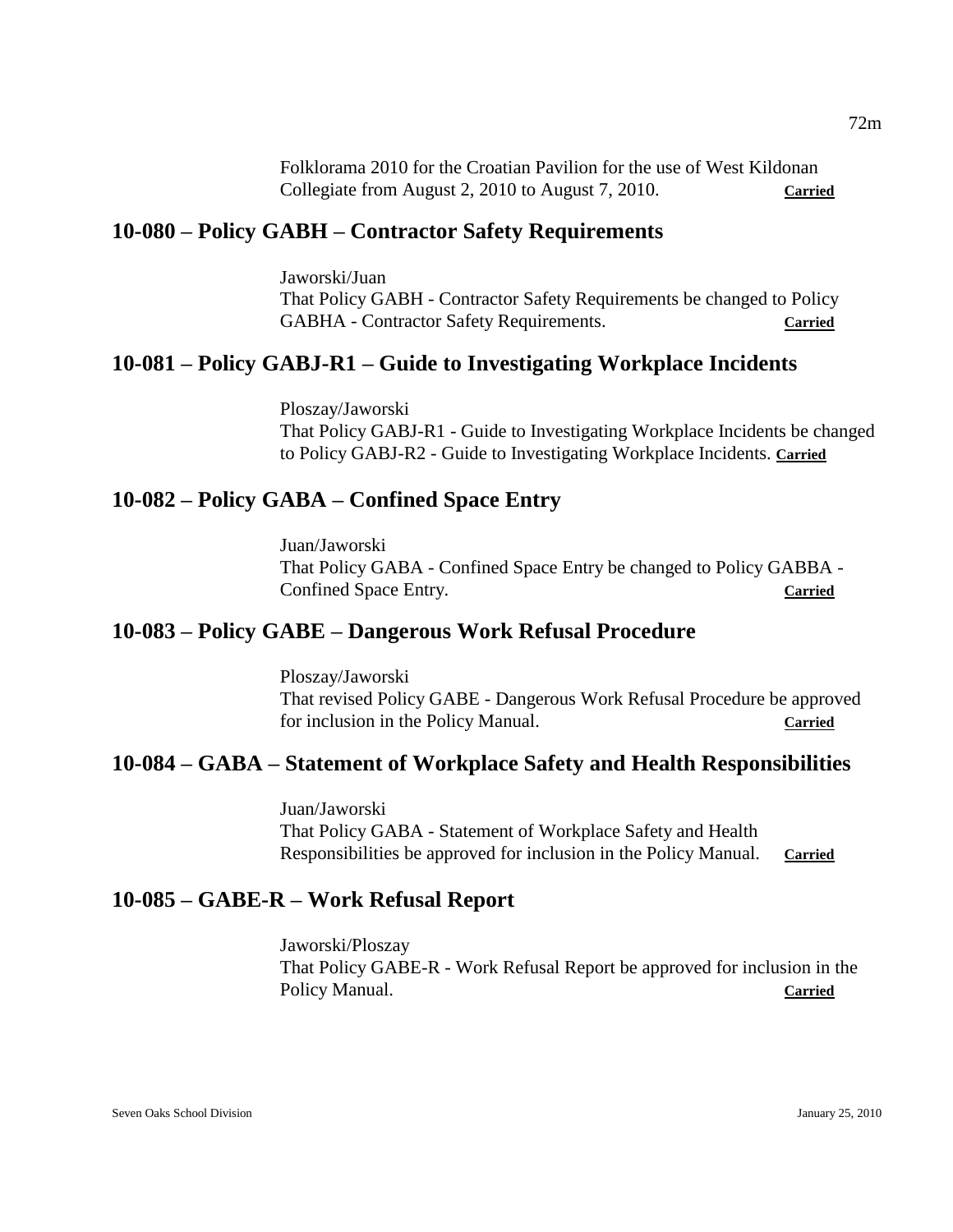Folklorama 2010 for the Croatian Pavilion for the use of West Kildonan Collegiate from August 2, 2010 to August 7, 2010. **Carried**

# **10-080 – Policy GABH – Contractor Safety Requirements**

Jaworski/Juan That Policy GABH - Contractor Safety Requirements be changed to Policy GABHA - Contractor Safety Requirements. Carried

## **10-081 – Policy GABJ-R1 – Guide to Investigating Workplace Incidents**

Ploszay/Jaworski That Policy GABJ-R1 - Guide to Investigating Workplace Incidents be changed to Policy GABJ-R2 - Guide to Investigating Workplace Incidents. **Carried**

## **10-082 – Policy GABA – Confined Space Entry**

Juan/Jaworski That Policy GABA - Confined Space Entry be changed to Policy GABBA - Confined Space Entry. **Carried**

# **10-083 – Policy GABE – Dangerous Work Refusal Procedure**

Ploszay/Jaworski That revised Policy GABE - Dangerous Work Refusal Procedure be approved for inclusion in the Policy Manual. **Carried**

# **10-084 – GABA – Statement of Workplace Safety and Health Responsibilities**

Juan/Jaworski That Policy GABA - Statement of Workplace Safety and Health Responsibilities be approved for inclusion in the Policy Manual. **Carried**

### **10-085 – GABE-R – Work Refusal Report**

Jaworski/Ploszay That Policy GABE-R - Work Refusal Report be approved for inclusion in the Policy Manual. **Carried**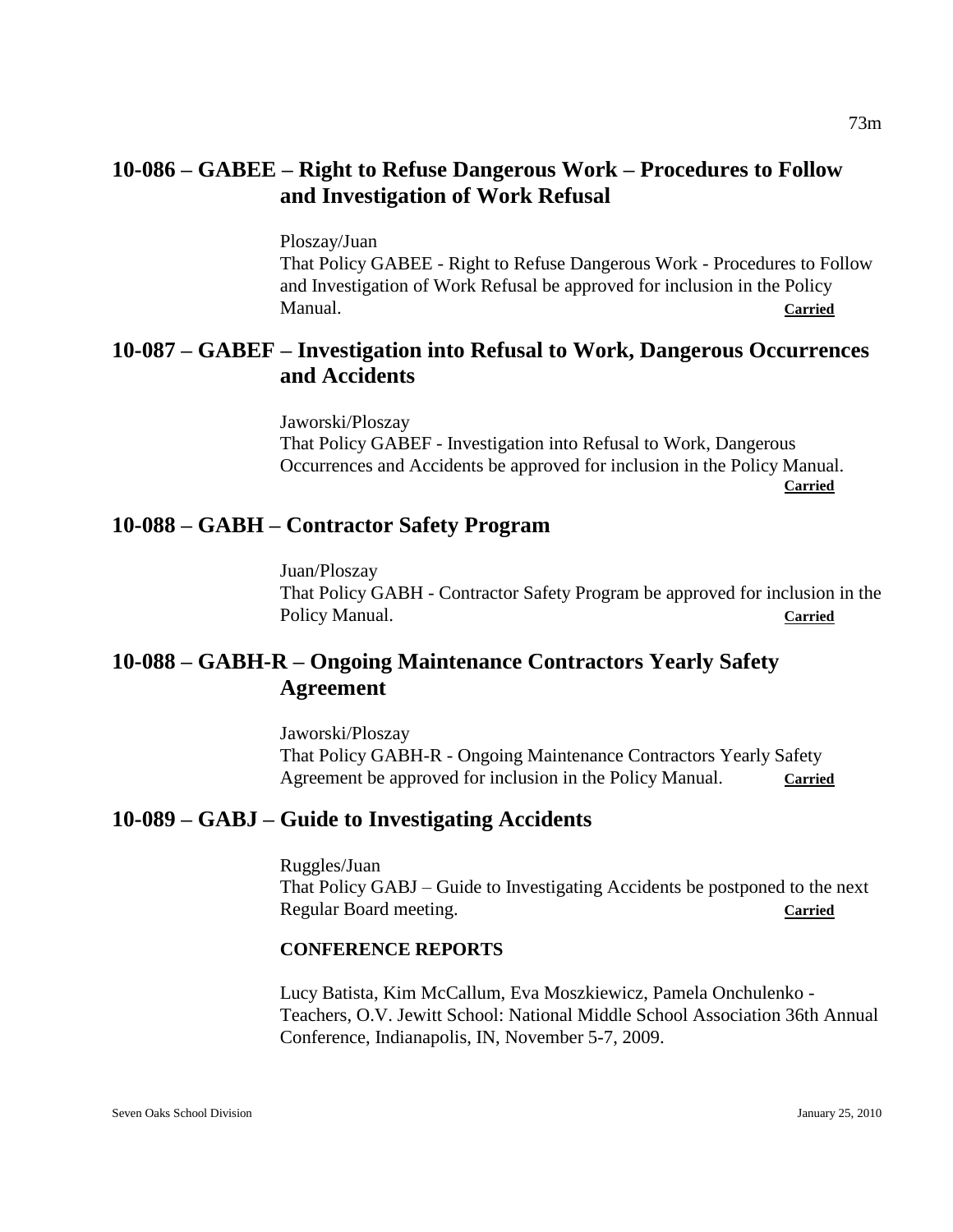# **10-086 – GABEE – Right to Refuse Dangerous Work – Procedures to Follow and Investigation of Work Refusal**

Ploszay/Juan That Policy GABEE - Right to Refuse Dangerous Work - Procedures to Follow and Investigation of Work Refusal be approved for inclusion in the Policy Manual. **Carried**

# **10-087 – GABEF – Investigation into Refusal to Work, Dangerous Occurrences and Accidents**

Jaworski/Ploszay That Policy GABEF - Investigation into Refusal to Work, Dangerous Occurrences and Accidents be approved for inclusion in the Policy Manual. **Carried**

# **10-088 – GABH – Contractor Safety Program**

Juan/Ploszay That Policy GABH - Contractor Safety Program be approved for inclusion in the Policy Manual. **Carried** 

# **10-088 – GABH-R – Ongoing Maintenance Contractors Yearly Safety Agreement**

Jaworski/Ploszay That Policy GABH-R - Ongoing Maintenance Contractors Yearly Safety Agreement be approved for inclusion in the Policy Manual. Carried

# **10-089 – GABJ – Guide to Investigating Accidents**

Ruggles/Juan That Policy GABJ – Guide to Investigating Accidents be postponed to the next Regular Board meeting. **Carried**

# **CONFERENCE REPORTS**

Lucy Batista, Kim McCallum, Eva Moszkiewicz, Pamela Onchulenko - Teachers, O.V. Jewitt School: National Middle School Association 36th Annual Conference, Indianapolis, IN, November 5-7, 2009.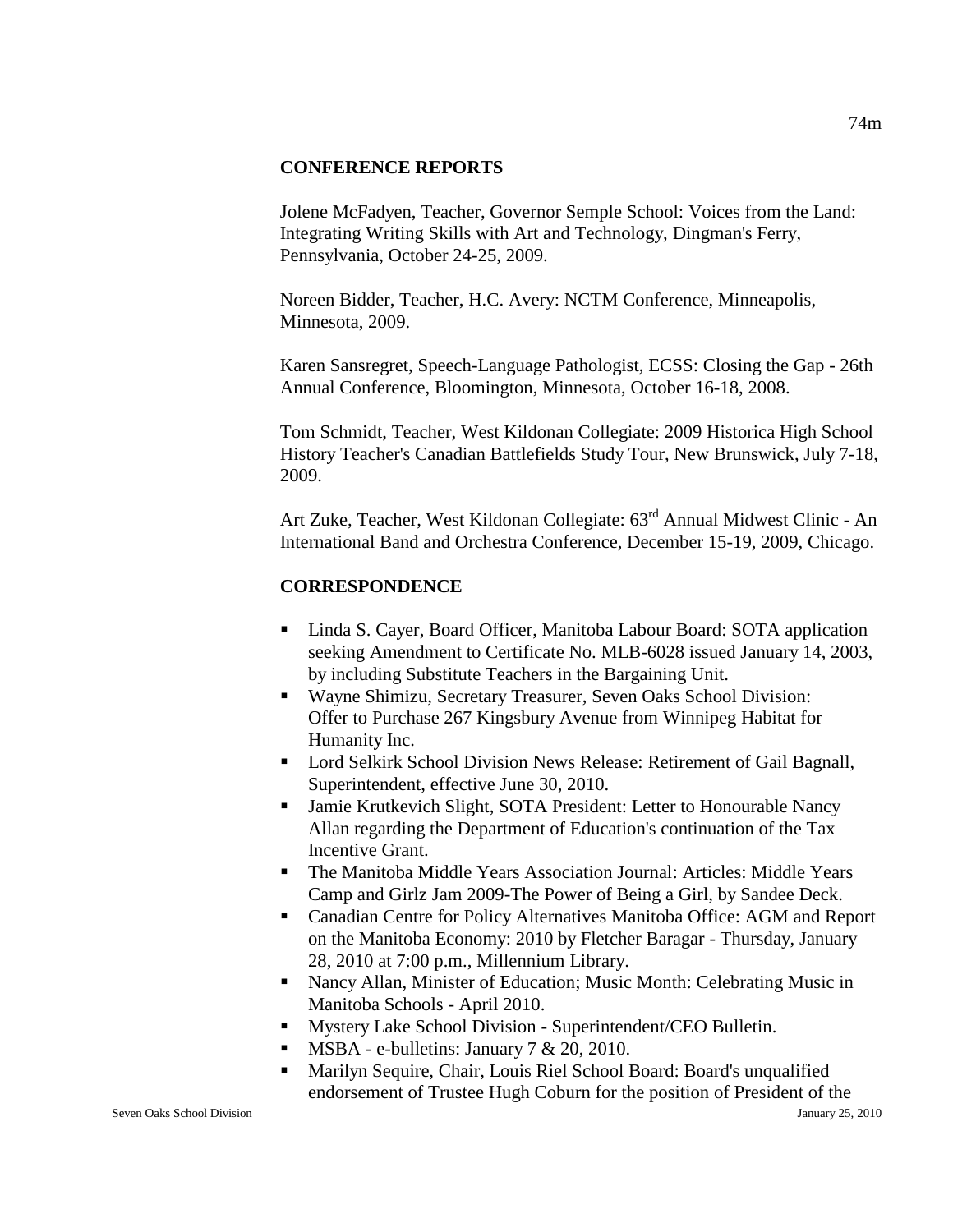#### **CONFERENCE REPORTS**

Jolene McFadyen, Teacher, Governor Semple School: Voices from the Land: Integrating Writing Skills with Art and Technology, Dingman's Ferry, Pennsylvania, October 24-25, 2009.

Noreen Bidder, Teacher, H.C. Avery: NCTM Conference, Minneapolis, Minnesota, 2009.

Karen Sansregret, Speech-Language Pathologist, ECSS: Closing the Gap - 26th Annual Conference, Bloomington, Minnesota, October 16-18, 2008.

Tom Schmidt, Teacher, West Kildonan Collegiate: 2009 Historica High School History Teacher's Canadian Battlefields Study Tour, New Brunswick, July 7-18, 2009.

Art Zuke, Teacher, West Kildonan Collegiate: 63rd Annual Midwest Clinic - An International Band and Orchestra Conference, December 15-19, 2009, Chicago.

### **CORRESPONDENCE**

- Linda S. Cayer, Board Officer, Manitoba Labour Board: SOTA application seeking Amendment to Certificate No. MLB-6028 issued January 14, 2003, by including Substitute Teachers in the Bargaining Unit.
- Wayne Shimizu, Secretary Treasurer, Seven Oaks School Division: Offer to Purchase 267 Kingsbury Avenue from Winnipeg Habitat for Humanity Inc.
- Lord Selkirk School Division News Release: Retirement of Gail Bagnall, Superintendent, effective June 30, 2010.
- Jamie Krutkevich Slight, SOTA President: Letter to Honourable Nancy Allan regarding the Department of Education's continuation of the Tax Incentive Grant.
- The Manitoba Middle Years Association Journal: Articles: Middle Years Camp and Girlz Jam 2009-The Power of Being a Girl, by Sandee Deck.
- Canadian Centre for Policy Alternatives Manitoba Office: AGM and Report on the Manitoba Economy: 2010 by Fletcher Baragar - Thursday, January 28, 2010 at 7:00 p.m., Millennium Library.
- Nancy Allan, Minister of Education; Music Month: Celebrating Music in Manitoba Schools - April 2010.
- Mystery Lake School Division Superintendent/CEO Bulletin.
- **MSBA** e-bulletins: January  $7 < 20, 2010$ .
- Marilyn Sequire, Chair, Louis Riel School Board: Board's unqualified endorsement of Trustee Hugh Coburn for the position of President of the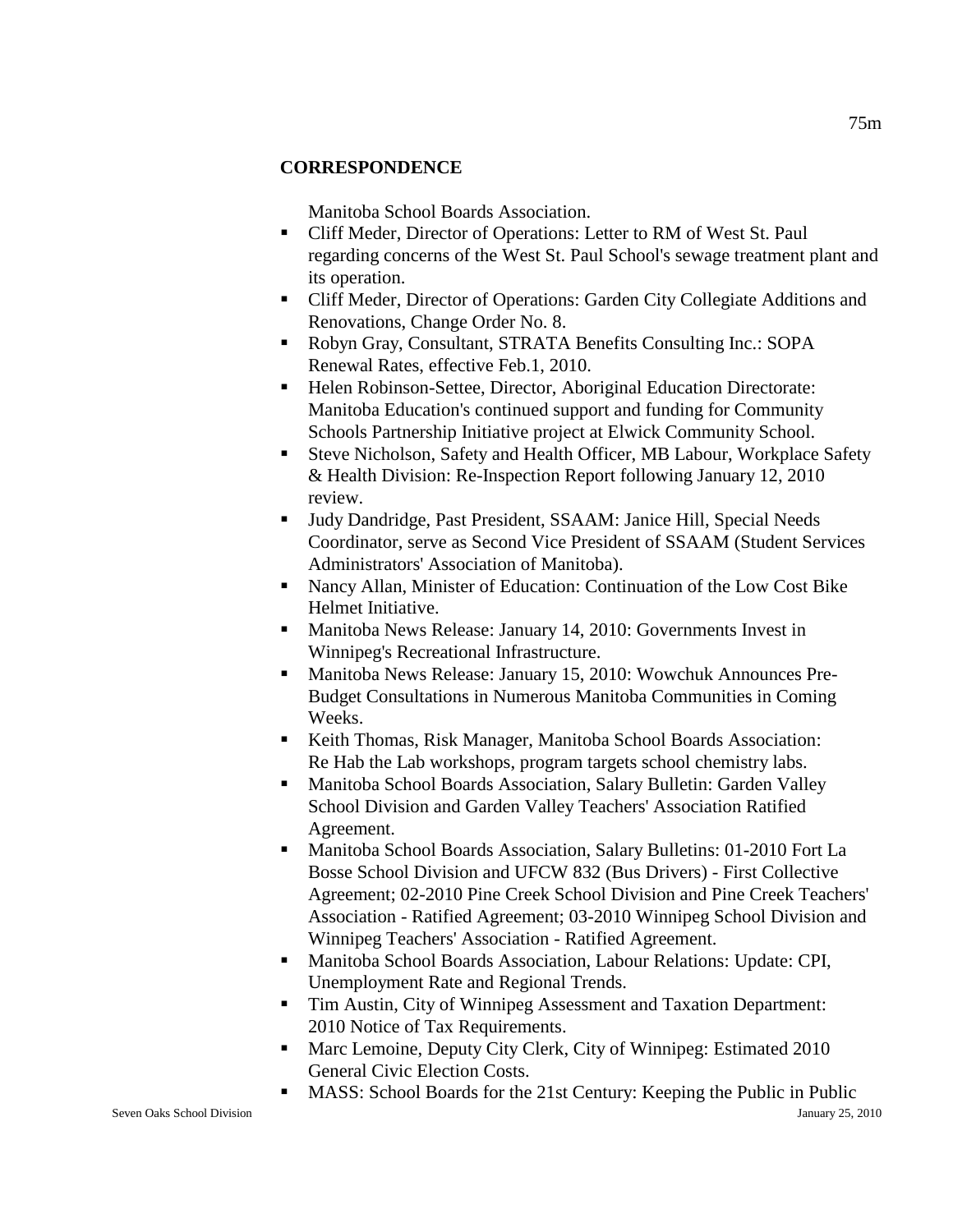## **CORRESPONDENCE**

Manitoba School Boards Association.

- Cliff Meder, Director of Operations: Letter to RM of West St. Paul regarding concerns of the West St. Paul School's sewage treatment plant and its operation.
- Cliff Meder, Director of Operations: Garden City Collegiate Additions and Renovations, Change Order No. 8.
- Robyn Gray, Consultant, STRATA Benefits Consulting Inc.: SOPA Renewal Rates, effective Feb.1, 2010.
- Helen Robinson-Settee, Director, Aboriginal Education Directorate: Manitoba Education's continued support and funding for Community Schools Partnership Initiative project at Elwick Community School.
- Steve Nicholson, Safety and Health Officer, MB Labour, Workplace Safety & Health Division: Re-Inspection Report following January 12, 2010 review.
- Judy Dandridge, Past President, SSAAM: Janice Hill, Special Needs Coordinator, serve as Second Vice President of SSAAM (Student Services Administrators' Association of Manitoba).
- Nancy Allan, Minister of Education: Continuation of the Low Cost Bike Helmet Initiative.
- **Manitoba News Release: January 14, 2010: Governments Invest in** Winnipeg's Recreational Infrastructure.
- Manitoba News Release: January 15, 2010: Wowchuk Announces Pre-Budget Consultations in Numerous Manitoba Communities in Coming Weeks.
- Keith Thomas, Risk Manager, Manitoba School Boards Association: Re Hab the Lab workshops, program targets school chemistry labs.
- Manitoba School Boards Association, Salary Bulletin: Garden Valley School Division and Garden Valley Teachers' Association Ratified Agreement.
- Manitoba School Boards Association, Salary Bulletins: 01-2010 Fort La Bosse School Division and UFCW 832 (Bus Drivers) - First Collective Agreement; 02-2010 Pine Creek School Division and Pine Creek Teachers' Association - Ratified Agreement; 03-2010 Winnipeg School Division and Winnipeg Teachers' Association - Ratified Agreement.
- Manitoba School Boards Association, Labour Relations: Update: CPI, Unemployment Rate and Regional Trends.
- Tim Austin, City of Winnipeg Assessment and Taxation Department: 2010 Notice of Tax Requirements.
- **Marc Lemoine, Deputy City Clerk, City of Winnipeg: Estimated 2010** General Civic Election Costs.
- **MASS: School Boards for the 21st Century: Keeping the Public in Public**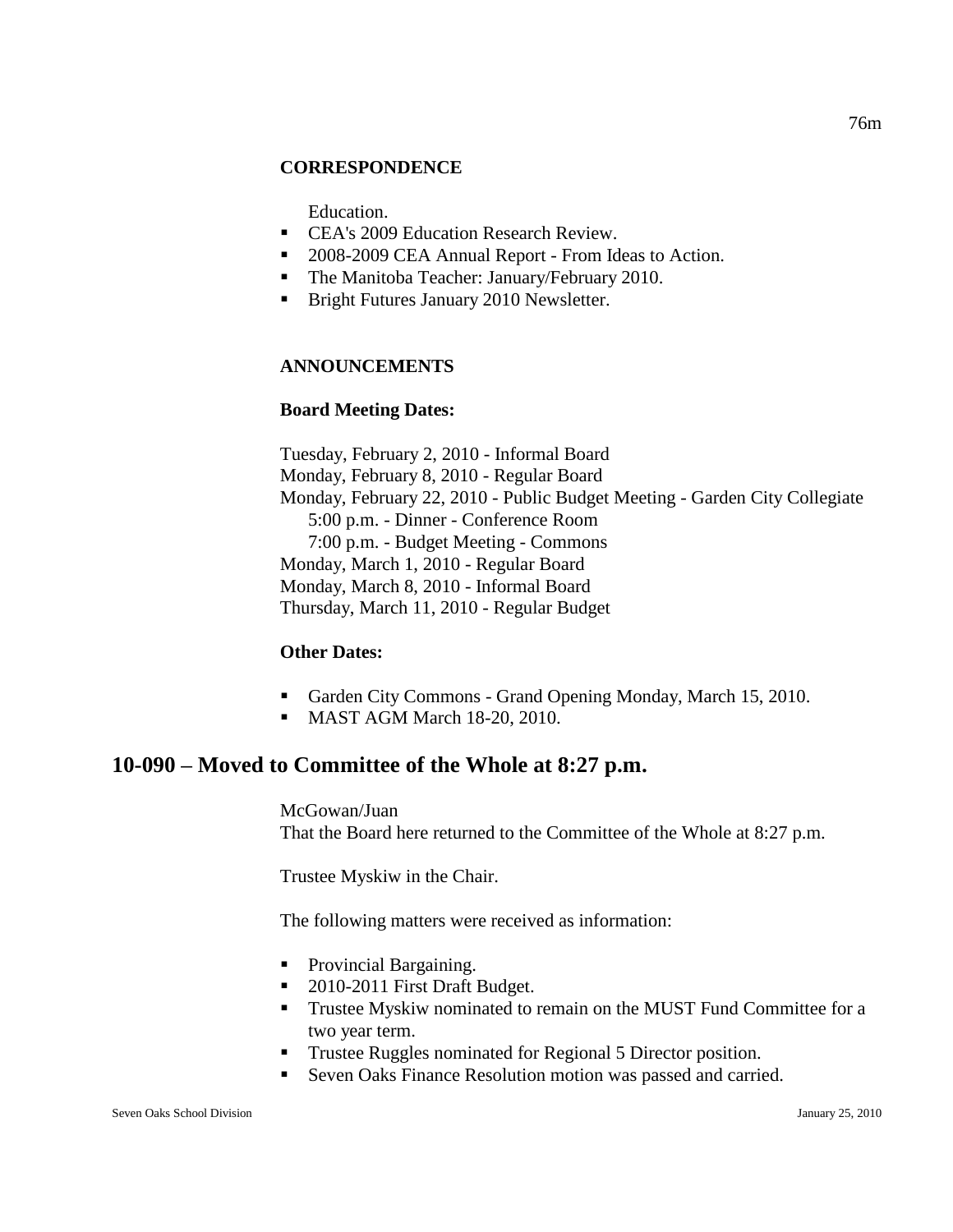#### **CORRESPONDENCE**

Education.

- CEA's 2009 Education Research Review.
- 2008-2009 CEA Annual Report From Ideas to Action.
- The Manitoba Teacher: January/February 2010.
- **Bright Futures January 2010 Newsletter.**

#### **ANNOUNCEMENTS**

#### **Board Meeting Dates:**

Tuesday, February 2, 2010 - Informal Board Monday, February 8, 2010 - Regular Board Monday, February 22, 2010 - Public Budget Meeting - Garden City Collegiate 5:00 p.m. - Dinner - Conference Room 7:00 p.m. - Budget Meeting - Commons Monday, March 1, 2010 - Regular Board Monday, March 8, 2010 - Informal Board Thursday, March 11, 2010 - Regular Budget

#### **Other Dates:**

- Garden City Commons Grand Opening Monday, March 15, 2010.
- MAST AGM March 18-20, 2010.

# **10-090 – Moved to Committee of the Whole at 8:27 p.m.**

McGowan/Juan That the Board here returned to the Committee of the Whole at 8:27 p.m.

Trustee Myskiw in the Chair.

The following matters were received as information:

- Provincial Bargaining.
- 2010-2011 First Draft Budget.
- **Trustee Myskiw nominated to remain on the MUST Fund Committee for a** two year term.
- Trustee Ruggles nominated for Regional 5 Director position.
- Seven Oaks Finance Resolution motion was passed and carried.